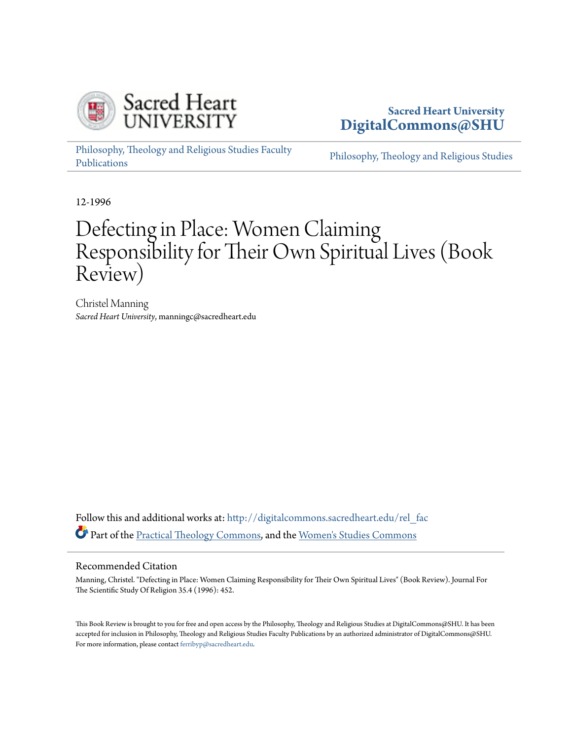

## **Sacred Heart University [DigitalCommons@SHU](http://digitalcommons.sacredheart.edu?utm_source=digitalcommons.sacredheart.edu%2Frel_fac%2F75&utm_medium=PDF&utm_campaign=PDFCoverPages)**

[Philosophy, Theology and Religious Studies Faculty](http://digitalcommons.sacredheart.edu/rel_fac?utm_source=digitalcommons.sacredheart.edu%2Frel_fac%2F75&utm_medium=PDF&utm_campaign=PDFCoverPages) [Publications](http://digitalcommons.sacredheart.edu/rel_fac?utm_source=digitalcommons.sacredheart.edu%2Frel_fac%2F75&utm_medium=PDF&utm_campaign=PDFCoverPages)

[Philosophy, Theology and Religious Studies](http://digitalcommons.sacredheart.edu/rel?utm_source=digitalcommons.sacredheart.edu%2Frel_fac%2F75&utm_medium=PDF&utm_campaign=PDFCoverPages)

12-1996

## Defecting in Place: Women Claiming Responsibility for Their Own Spiritual Lives (Book Review)

Christel Manning *Sacred Heart University*, manningc@sacredheart.edu

Follow this and additional works at: [http://digitalcommons.sacredheart.edu/rel\\_fac](http://digitalcommons.sacredheart.edu/rel_fac?utm_source=digitalcommons.sacredheart.edu%2Frel_fac%2F75&utm_medium=PDF&utm_campaign=PDFCoverPages) Part of the [Practical Theology Commons](http://network.bepress.com/hgg/discipline/1186?utm_source=digitalcommons.sacredheart.edu%2Frel_fac%2F75&utm_medium=PDF&utm_campaign=PDFCoverPages), and the [Women's Studies Commons](http://network.bepress.com/hgg/discipline/561?utm_source=digitalcommons.sacredheart.edu%2Frel_fac%2F75&utm_medium=PDF&utm_campaign=PDFCoverPages)

## Recommended Citation

Manning, Christel. "Defecting in Place: Women Claiming Responsibility for Their Own Spiritual Lives" (Book Review). Journal For The Scientific Study Of Religion 35.4 (1996): 452.

This Book Review is brought to you for free and open access by the Philosophy, Theology and Religious Studies at DigitalCommons@SHU. It has been accepted for inclusion in Philosophy, Theology and Religious Studies Faculty Publications by an authorized administrator of DigitalCommons@SHU. For more information, please contact [ferribyp@sacredheart.edu](mailto:ferribyp@sacredheart.edu).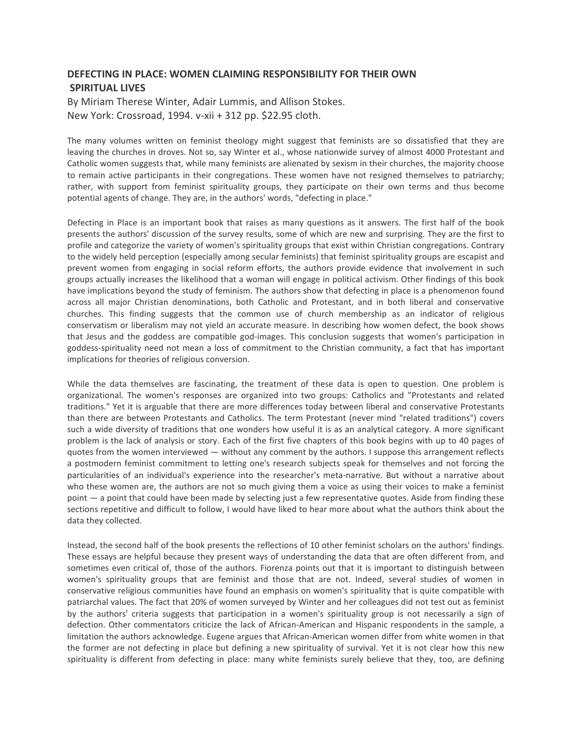## DEFECTING IN PLACE: WOMEN CLAIMING RESPONSIBILITY FOR THEIR OWN SPIRITUAL LIVES

By Miriam Therese Winter, Adair Lummis, and Allison Stokes. New York: Crossroad, 1994. v-xii + 312 pp. \$22.95 cloth.

The many volumes written on feminist theology might suggest that feminists are so dissatisfied that they are leaving the churches in droves. Not so, say Winter et al., whose nationwide survey of almost 4000 Protestant and Catholic women suggests that, while many feminists are alienated by sexism in their churches, the majority choose to remain active participants in their congregations. These women have not resigned themselves to patriarchy; rather, with support from feminist spirituality groups, they participate on their own terms and thus become potential agents of change. They are, in the authors' words, "defecting in place."

Defecting in Place is an important book that raises as many questions as it answers. The first half of the book presents the authors' discussion of the survey results, some of which are new and surprising. They are the first to profile and categorize the variety of women's spirituality groups that exist within Christian congregations. Contrary to the widely held perception (especially among secular feminists) that feminist spirituality groups are escapist and prevent women from engaging in social reform efforts, the authors provide evidence that involvement in such groups actually increases the likelihood that a woman will engage in political activism. Other findings of this book have implications beyond the study of feminism. The authors show that defecting in place is a phenomenon found across all major Christian denominations, both Catholic and Protestant, and in both liberal and conservative churches. This finding suggests that the common use of church membership as an indicator of religious conservatism or liberalism may not yield an accurate measure. In describing how women defect, the book shows that Jesus and the goddess are compatible god-images. This conclusion suggests that women's participation in goddess-spirituality need not mean a loss of commitment to the Christian community, a fact that has important implications for theories of religious conversion.

While the data themselves are fascinating, the treatment of these data is open to question. One problem is organizational. The women's responses are organized into two groups: Catholics and "Protestants and related traditions." Yet it is arguable that there are more differences today between liberal and conservative Protestants than there are between Protestants and Catholics. The term Protestant (never mind "related traditions") covers such a wide diversity of traditions that one wonders how useful it is as an analytical category. A more significant problem is the lack of analysis or story. Each of the first five chapters of this book begins with up to 40 pages of quotes from the women interviewed — without any comment by the authors. I suppose this arrangement reflects a postmodern feminist commitment to letting one's research subjects speak for themselves and not forcing the particularities of an individual's experience into the researcher's meta-narrative. But without a narrative about who these women are, the authors are not so much giving them a voice as using their voices to make a feminist point — a point that could have been made by selecting just a few representative quotes. Aside from finding these sections repetitive and difficult to follow, I would have liked to hear more about what the authors think about the data they collected.

Instead, the second half of the book presents the reflections of 10 other feminist scholars on the authors' findings. These essays are helpful because they present ways of understanding the data that are often different from, and sometimes even critical of, those of the authors. Fiorenza points out that it is important to distinguish between women's spirituality groups that are feminist and those that are not. Indeed, several studies of women in conservative religious communities have found an emphasis on women's spirituality that is quite compatible with patriarchal values. The fact that 20% of women surveyed by Winter and her colleagues did not test out as feminist by the authors' criteria suggests that participation in a women's spirituality group is not necessarily a sign of defection. Other commentators criticize the lack of African-American and Hispanic respondents in the sample, a limitation the authors acknowledge. Eugene argues that African-American women differ from white women in that the former are not defecting in place but defining a new spirituality of survival. Yet it is not clear how this new spirituality is different from defecting in place: many white feminists surely believe that they, too, are defining